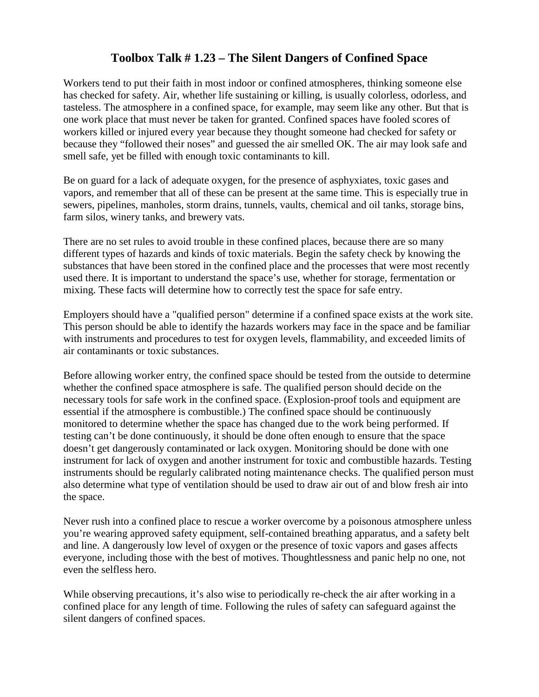## **Toolbox Talk # 1.23 – The Silent Dangers of Confined Space**

Workers tend to put their faith in most indoor or confined atmospheres, thinking someone else has checked for safety. Air, whether life sustaining or killing, is usually colorless, odorless, and tasteless. The atmosphere in a confined space, for example, may seem like any other. But that is one work place that must never be taken for granted. Confined spaces have fooled scores of workers killed or injured every year because they thought someone had checked for safety or because they "followed their noses" and guessed the air smelled OK. The air may look safe and smell safe, yet be filled with enough toxic contaminants to kill.

Be on guard for a lack of adequate oxygen, for the presence of asphyxiates, toxic gases and vapors, and remember that all of these can be present at the same time. This is especially true in sewers, pipelines, manholes, storm drains, tunnels, vaults, chemical and oil tanks, storage bins, farm silos, winery tanks, and brewery vats.

There are no set rules to avoid trouble in these confined places, because there are so many different types of hazards and kinds of toxic materials. Begin the safety check by knowing the substances that have been stored in the confined place and the processes that were most recently used there. It is important to understand the space's use, whether for storage, fermentation or mixing. These facts will determine how to correctly test the space for safe entry.

Employers should have a "qualified person" determine if a confined space exists at the work site. This person should be able to identify the hazards workers may face in the space and be familiar with instruments and procedures to test for oxygen levels, flammability, and exceeded limits of air contaminants or toxic substances.

Before allowing worker entry, the confined space should be tested from the outside to determine whether the confined space atmosphere is safe. The qualified person should decide on the necessary tools for safe work in the confined space. (Explosion-proof tools and equipment are essential if the atmosphere is combustible.) The confined space should be continuously monitored to determine whether the space has changed due to the work being performed. If testing can't be done continuously, it should be done often enough to ensure that the space doesn't get dangerously contaminated or lack oxygen. Monitoring should be done with one instrument for lack of oxygen and another instrument for toxic and combustible hazards. Testing instruments should be regularly calibrated noting maintenance checks. The qualified person must also determine what type of ventilation should be used to draw air out of and blow fresh air into the space.

Never rush into a confined place to rescue a worker overcome by a poisonous atmosphere unless you're wearing approved safety equipment, self-contained breathing apparatus, and a safety belt and line. A dangerously low level of oxygen or the presence of toxic vapors and gases affects everyone, including those with the best of motives. Thoughtlessness and panic help no one, not even the selfless hero.

While observing precautions, it's also wise to periodically re-check the air after working in a confined place for any length of time. Following the rules of safety can safeguard against the silent dangers of confined spaces.